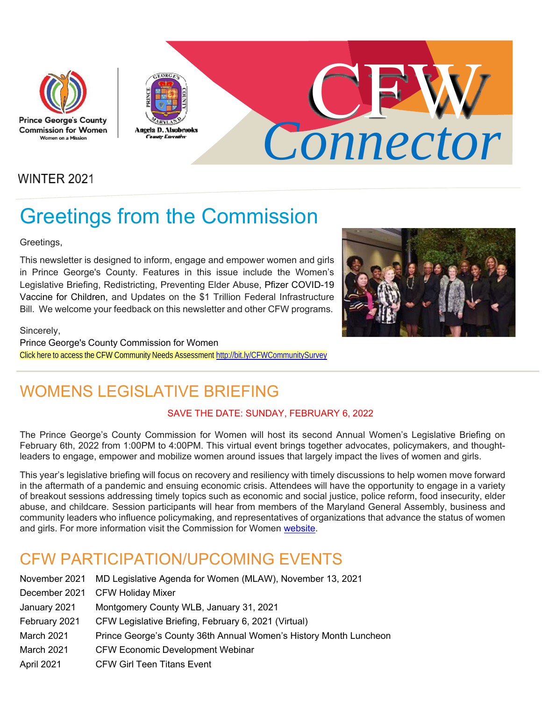





**WINTER 2021** 

# Greetings from the Commission

Greetings,

This newsletter is designed to inform, engage and empower women and girls in Prince George's County. Features in this issue include the Women's Legislative Briefing, Redistricting, Preventing Elder Abuse, Pfizer COVID-19 Vaccine for Children, and Updates on the \$1 Trillion Federal Infrastructure Bill. We welcome your feedback on this newsletter and other CFW programs.



Sincerely,

Prince George's County Commission for Women Click here to access the CFW Community Needs Assessment http://bit.ly/CFWCommunitySurvey

### WOMENS I FGISLATIVE BRIFFING

#### SAVE THE DATE: SUNDAY, FEBRUARY 6, 2022

The Prince George's County Commission for Women will host its second Annual Women's Legislative Briefing on February 6th, 2022 from 1:00PM to 4:00PM. This virtual event brings together advocates, policymakers, and thoughtleaders to engage, empower and mobilize women around issues that largely impact the lives of women and girls.

This year's legislative briefing will focus on recovery and resiliency with timely discussions to help women move forward in the aftermath of a pandemic and ensuing economic crisis. Attendees will have the opportunity to engage in a variety of breakout sessions addressing timely topics such as economic and social justice, police reform, food insecurity, elder abuse, and childcare. Session participants will hear from members of the Maryland General Assembly, business and community leaders who influence policymaking, and representatives of organizations that advance the status of women and girls. For more information visit the Commission for Women website.

### CFW PARTICIPATION/UPCOMING EVENTS

| November 2021 | MD Legislative Agenda for Women (MLAW), November 13, 2021         |
|---------------|-------------------------------------------------------------------|
| December 2021 | <b>CFW Holiday Mixer</b>                                          |
| January 2021  | Montgomery County WLB, January 31, 2021                           |
| February 2021 | CFW Legislative Briefing, February 6, 2021 (Virtual)              |
| March 2021    | Prince George's County 36th Annual Women's History Month Luncheon |
| March 2021    | <b>CFW Economic Development Webinar</b>                           |
| April 2021    | <b>CFW Girl Teen Titans Event</b>                                 |
|               |                                                                   |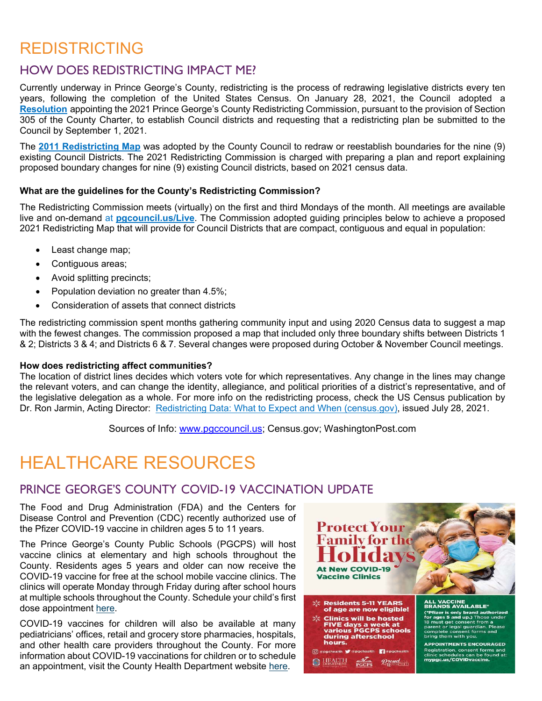### REDISTRICTING

#### HOW DOES REDISTRICTING IMPACT ME?

Currently underway in Prince George's County, redistricting is the process of redrawing legislative districts every ten years, following the completion of the United States Census. On January 28, 2021, the Council adopted a **Resolution** appointing the 2021 Prince George's County Redistricting Commission, pursuant to the provision of Section 305 of the County Charter, to establish Council districts and requesting that a redistricting plan be submitted to the Council by September 1, 2021.

The **2011 Redistricting Map** was adopted by the County Council to redraw or reestablish boundaries for the nine (9) existing Council Districts. The 2021 Redistricting Commission is charged with preparing a plan and report explaining proposed boundary changes for nine (9) existing Council districts, based on 2021 census data.

#### **What are the guidelines for the County's Redistricting Commission?**

The Redistricting Commission meets (virtually) on the first and third Mondays of the month. All meetings are available live and on-demand at **pgcouncil.us/Live**. The Commission adopted guiding principles below to achieve a proposed 2021 Redistricting Map that will provide for Council Districts that are compact, contiguous and equal in population:

- Least change map;
- Contiguous areas;
- Avoid splitting precincts;
- Population deviation no greater than 4.5%;
- Consideration of assets that connect districts

The redistricting commission spent months gathering community input and using 2020 Census data to suggest a map with the fewest changes. The commission proposed a map that included only three boundary shifts between Districts 1 & 2; Districts 3 & 4; and Districts 6 & 7. Several changes were proposed during October & November Council meetings.

#### **How does redistricting affect communities?**

The location of district lines decides which voters vote for which representatives. Any change in the lines may change the relevant voters, and can change the identity, allegiance, and political priorities of a district's representative, and of the legislative delegation as a whole. For more info on the redistricting process, check the US Census publication by Dr. Ron Jarmin, Acting Director: Redistricting Data: What to Expect and When (census.gov), issued July 28, 2021.

Sources of Info: www.pgccouncil.us; Census.gov; WashingtonPost.com

## HEALTHCARE RESOURCES

#### PRINCE GEORGE'S COUNTY COVID-19 VACCINATION UPDATE

The Food and Drug Administration (FDA) and the Centers for Disease Control and Prevention (CDC) recently authorized use of the Pfizer COVID-19 vaccine in children ages 5 to 11 years.

The Prince George's County Public Schools (PGCPS) will host vaccine clinics at elementary and high schools throughout the County. Residents ages 5 years and older can now receive the COVID-19 vaccine for free at the school mobile vaccine clinics. The clinics will operate Monday through Friday during after school hours at multiple schools throughout the County. Schedule your child's first dose appointment here.

COVID-19 vaccines for children will also be available at many pediatricians' offices, retail and grocery store pharmacies, hospitals, and other health care providers throughout the County. For more information about COVID-19 vaccinations for children or to schedule an appointment, visit the County Health Department website here.

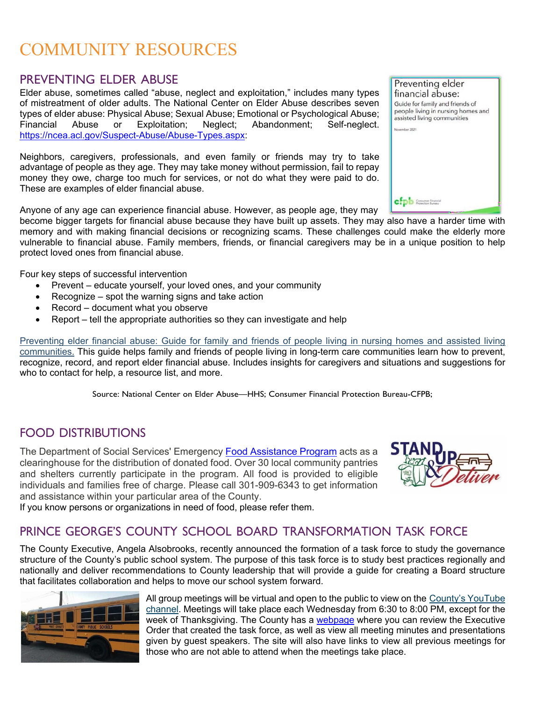### COMMUNITY RESOURCES

#### PREVENTING ELDER ABUSE

Elder abuse, sometimes called "abuse, neglect and exploitation," includes many types of mistreatment of older adults. The National Center on Elder Abuse describes seven types of elder abuse: Physical Abuse; Sexual Abuse; Emotional or Psychological Abuse; Financial Abuse or Exploitation; Neglect; Abandonment; Self-neglect. https://ncea.acl.gov/Suspect-Abuse/Abuse-Types.aspx:

Neighbors, caregivers, professionals, and even family or friends may try to take advantage of people as they age. They may take money without permission, fail to repay money they owe, charge too much for services, or not do what they were paid to do. These are examples of elder financial abuse.

Anyone of any age can experience financial abuse. However, as people age, they may

become bigger targets for financial abuse because they have built up assets. They may also have a harder time with memory and with making financial decisions or recognizing scams. These challenges could make the elderly more vulnerable to financial abuse. Family members, friends, or financial caregivers may be in a unique position to help protect loved ones from financial abuse.

Four key steps of successful intervention

- Prevent educate yourself, your loved ones, and your community
- $\bullet$  Recognize spot the warning signs and take action
- Record document what you observe
- Report tell the appropriate authorities so they can investigate and help

Preventing elder financial abuse: Guide for family and friends of people living in nursing homes and assisted living communities. This guide helps family and friends of people living in long-term care communities learn how to prevent, recognize, record, and report elder financial abuse. Includes insights for caregivers and situations and suggestions for who to contact for help, a resource list, and more.

Source: National Center on Elder Abuse—HHS; Consumer Financial Protection Bureau-CFPB;

#### FOOD DISTRIBUTIONS

The Department of Social Services' Emergency Food Assistance Program acts as a clearinghouse for the distribution of donated food. Over 30 local community pantries and shelters currently participate in the program. All food is provided to eligible individuals and families free of charge. Please call 301-909-6343 to get information and assistance within your particular area of the County.

If you know persons or organizations in need of food, please refer them.

#### PRINCE GEORGE'S COUNTY SCHOOL BOARD TRANSFORMATION TASK FORCE

The County Executive, Angela Alsobrooks, recently announced the formation of a task force to study the governance structure of the County's public school system. The purpose of this task force is to study best practices regionally and nationally and deliver recommendations to County leadership that will provide a guide for creating a Board structure that facilitates collaboration and helps to move our school system forward.



All group meetings will be virtual and open to the public to view on the County's YouTube channel. Meetings will take place each Wednesday from 6:30 to 8:00 PM, except for the week of Thanksgiving. The County has a webpage where you can review the Executive Order that created the task force, as well as view all meeting minutes and presentations given by guest speakers. The site will also have links to view all previous meetings for those who are not able to attend when the meetings take place.



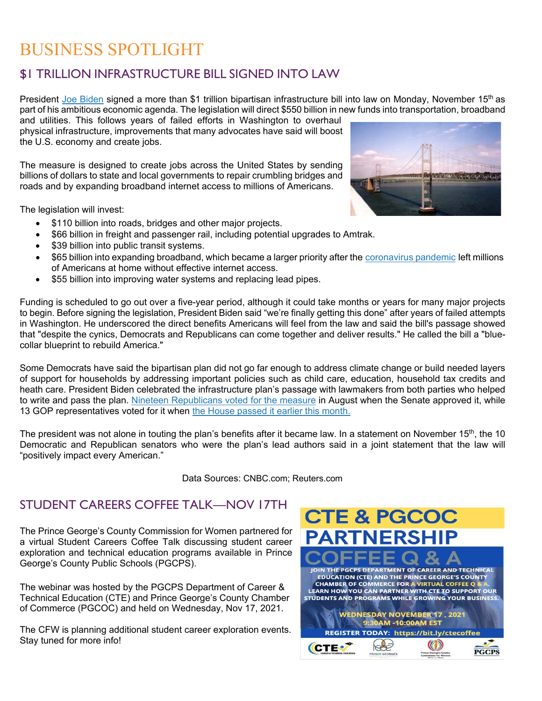### BUSINESS SPOTLIGHT

#### \$1 TRILLION INFRASTRUCTURE BILL SIGNED INTO LAW

President Joe Biden signed a more than \$1 trillion bipartisan infrastructure bill into law on Monday, November 15<sup>th</sup> as part of his ambitious economic agenda. The legislation will direct \$550 billion in new funds into transportation, broadband

and utilities. This follows years of failed efforts in Washington to overhaul physical infrastructure, improvements that many advocates have said will boost the U.S. economy and create jobs.

The measure is designed to create jobs across the United States by sending billions of dollars to state and local governments to repair crumbling bridges and roads and by expanding broadband internet access to millions of Americans.

The legislation will invest:

- \$110 billion into roads, bridges and other major projects.
- \$66 billion in freight and passenger rail, including potential upgrades to Amtrak.
- \$39 billion into public transit systems.
- \$65 billion into expanding broadband, which became a larger priority after the coronavirus pandemic left millions of Americans at home without effective internet access.
- \$55 billion into improving water systems and replacing lead pipes.

Funding is scheduled to go out over a five-year period, although it could take months or years for many major projects to begin. Before signing the legislation, President Biden said "we're finally getting this done" after years of failed attempts in Washington. He underscored the direct benefits Americans will feel from the law and said the bill's passage showed that "despite the cynics, Democrats and Republicans can come together and deliver results." He called the bill a "bluecollar blueprint to rebuild America."

Some Democrats have said the bipartisan plan did not go far enough to address climate change or build needed layers of support for households by addressing important policies such as child care, education, household tax credits and heath care. President Biden celebrated the infrastructure plan's passage with lawmakers from both parties who helped to write and pass the plan. Nineteen Republicans voted for the measure in August when the Senate approved it, while 13 GOP representatives voted for it when the House passed it earlier this month.

The president was not alone in touting the plan's benefits after it became law. In a statement on November 15<sup>th</sup>, the 10 Democratic and Republican senators who were the plan's lead authors said in a joint statement that the law will "positively impact every American."

Data Sources: CNBC.com; Reuters.com

#### STUDENT CAREERS COFFEE TALK—NOV 17TH

The Prince George's County Commission for Women partnered for a virtual Student Careers Coffee Talk discussing student career exploration and technical education programs available in Prince George's County Public Schools (PGCPS).

The webinar was hosted by the PGCPS Department of Career & Technical Education (CTE) and Prince George's County Chamber of Commerce (PGCOC) and held on Wednesday, Nov 17, 2021.

The CFW is planning additional student career exploration events. Stay tuned for more info!



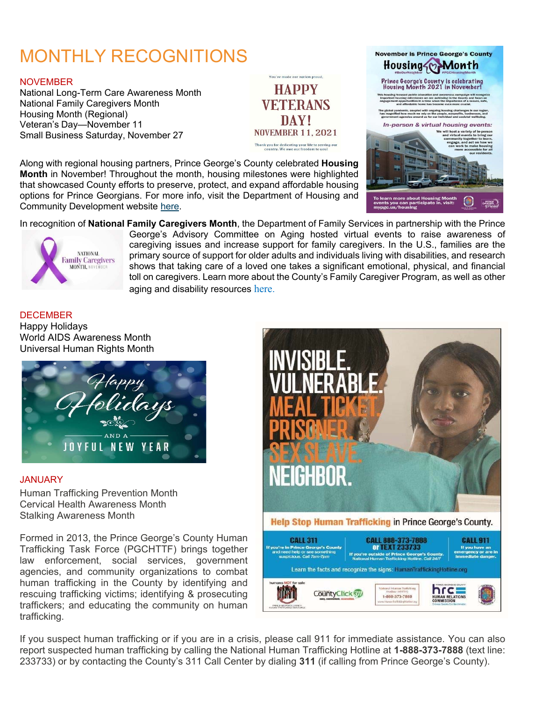# MONTHLY RECOGNITIONS

#### **NOVEMBER**

National Long-Term Care Awareness Month National Family Caregivers Month Housing Month (Regional) Veteran's Day—November 11 Small Business Saturday, November 27



Along with regional housing partners, Prince George's County celebrated **Housing Month** in November! Throughout the month, housing milestones were highlighted that showcased County efforts to preserve, protect, and expand affordable housing options for Prince Georgians. For more info, visit the Department of Housing and Community Development website here.



In recognition of **National Family Caregivers Month**, the Department of Family Services in partnership with the Prince



George's Advisory Committee on Aging hosted virtual events to raise awareness of caregiving issues and increase support for family caregivers. In the U.S., families are the primary source of support for older adults and individuals living with disabilities, and research shows that taking care of a loved one takes a significant emotional, physical, and financial toll on caregivers. Learn more about the County's Family Caregiver Program, as well as other aging and disability resources here.

**DECEMBER** Happy Holidays World AIDS Awareness Month Universal Human Rights Month



#### JANUARY

Human Trafficking Prevention Month Cervical Health Awareness Month Stalking Awareness Month

Formed in 2013, the Prince George's County Human Trafficking Task Force (PGCHTTF) brings together law enforcement, social services, government agencies, and community organizations to combat human trafficking in the County by identifying and rescuing trafficking victims; identifying & prosecuting traffickers; and educating the community on human trafficking.



If you suspect human trafficking or if you are in a crisis, please call 911 for immediate assistance. You can also report suspected human trafficking by calling the National Human Trafficking Hotline at **1-888-373-7888** (text line: 233733) or by contacting the County's 311 Call Center by dialing **311** (if calling from Prince George's County).